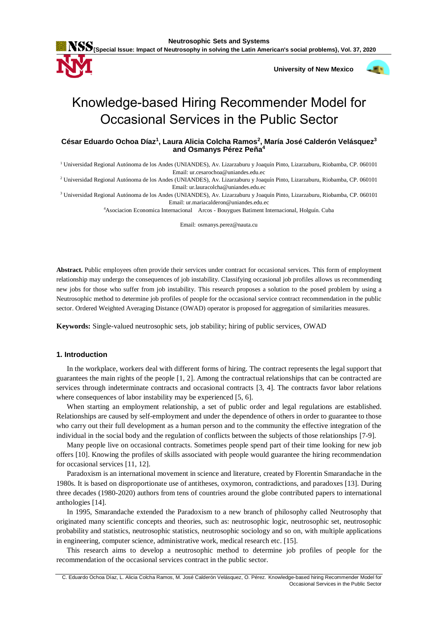

 **University of New Mexico**



# [Knowledge-based Hiring Recommender](https://arinti.ai/knowledge-based-job-recommender-systems-presented-at-recsys-2019/) Model for Occasional Services in the Public Sector

**César Eduardo Ochoa Díaz<sup>1</sup> , Laura Alicia Colcha Ramos<sup>2</sup> , María José Calderón Velásquez<sup>3</sup> and Osmanys Pérez Peña<sup>4</sup>**

<sup>1</sup> Universidad Regional Autónoma de los Andes (UNIANDES), Av. Lizarzaburu y Joaquín Pinto, Lizarzaburu, Riobamba, CP. 060101 Email: ur.cesarochoa@uniandes.edu.ec

<sup>2</sup> Universidad Regional Autónoma de los Andes (UNIANDES), Av. Lizarzaburu y Joaquín Pinto, Lizarzaburu, Riobamba, CP. 060101 Email: ur.lauracolcha@uniandes.edu.ec

<sup>3</sup> Universidad Regional Autónoma de los Andes (UNIANDES), Av. Lizarzaburu y Joaquín Pinto, Lizarzaburu, Riobamba, CP. 060101 Email: ur.mariacalderon@uniandes.edu.ec

<sup>4</sup>Asociacion Economica Internacional Arcos - Bouygues Batiment Internacional, Holguín. Cuba

Email: osmanys.perez@nauta.cu

**Abstract.** Public employees often provide their services under contract for occasional services. This form of employment relationship may undergo the consequences of job instability. Classifying occasional job profiles allows us recommending new jobs for those who suffer from job instability. This research proposes a solution to the posed problem by using a Neutrosophic method to determine job profiles of people for the occasional service contract recommendation in the public sector. Ordered Weighted Averaging Distance (OWAD) operator is proposed for aggregation of similarities measures.

**Keywords:** Single-valued neutrosophic sets, job stability; hiring of public services, OWAD

# **1. Introduction**

In the workplace, workers deal with different forms of hiring. The contract represents the legal support that guarantees the main rights of the people [\[1,](#page-5-0) [2\]](#page-5-1). Among the contractual relationships that can be contracted are services through indeterminate contracts and occasional contracts [\[3,](#page-5-2) [4\]](#page-5-3). The contracts favor labor relations where consequences of labor instability may be experienced [\[5,](#page-5-4) [6\]](#page-5-5).

When starting an employment relationship, a set of public order and legal regulations are established. Relationships are caused by self-employment and under the dependence of others in order to guarantee to those who carry out their full development as a human person and to the community the effective integration of the individual in the social body and the regulation of conflicts between the subjects of those relationships [\[7-9\]](#page-5-6).

Many people live on occasional contracts. Sometimes people spend part of their time looking for new job offers [\[10\]](#page-5-7). Knowing the profiles of skills associated with people would guarantee the hiring recommendation for occasional services [\[11,](#page-5-8) [12\]](#page-5-9).

Paradoxism is an international movement in science and literature, created by Florentin Smarandache in the 1980s. It is based on disproportionate use of antitheses, oxymoron, contradictions, and paradoxes [\[13\]](#page-5-10). During three decades (1980-2020) authors from tens of countries around the globe contributed papers to international anthologies [\[14\]](#page-5-11).

In 1995, Smarandache extended the Paradoxism to a new branch of philosophy called Neutrosophy that originated many scientific concepts and theories, such as: neutrosophic logic, neutrosophic set, neutrosophic probability and statistics, neutrosophic statistics, neutrosophic sociology and so on, with multiple applications in engineering, computer science, administrative work, medical research etc. [\[15\]](#page-5-12).

This research aims to develop a neutrosophic method to determine job profiles of people for the recommendation of the occasional services contract in the public sector.

C. Eduardo Ochoa Díaz, L. Alicia Colcha Ramos, M. José Calderón Velásquez, O. Pérez. Knowledge-based hiring Recommender Model for Occasional Services in the Public Sector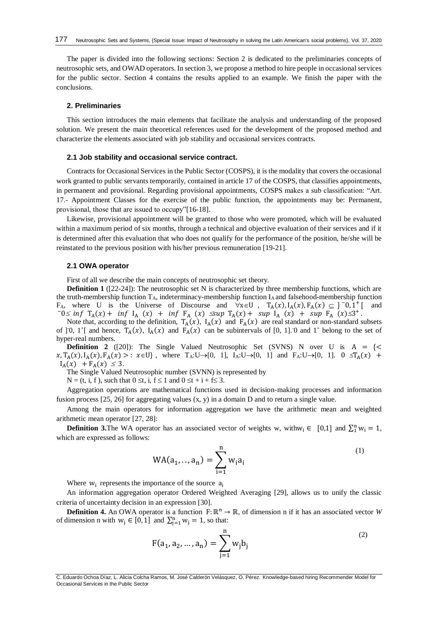The paper is divided into the following sections: Section 2 is dedicated to the preliminaries concepts of neutrosophic sets, and OWAD operators. In section 3, we propose a method to hire people in occasional services for the public sector. Section 4 contains the results applied to an example. We finish the paper with the conclusions.

# **2. Preliminaries**

This section introduces the main elements that facilitate the analysis and understanding of the proposed solution. We present the main theoretical references used for the development of the proposed method and characterize the elements associated with job stability and occasional services contracts.

# **2.1 Job stability and occasional service contract.**

Contracts for Occasional Services in the Public Sector (COSPS), it is the modality that covers the occasional work granted to public servants temporarily, contained in article 17 of the COSPS, that classifies appointments, in permanent and provisional. Regarding provisional appointments, COSPS makes a sub classification: "Art. 17.- Appointment Classes for the exercise of the public function, the appointments may be: Permanent, provisional, those that are issued to occupy"[\[16-18\]](#page-5-13).

Likewise, provisional appointment will be granted to those who were promoted, which will be evaluated within a maximum period of six months, through a technical and objective evaluation of their services and if it is determined after this evaluation that who does not qualify for the performance of the position, he/she will be reinstated to the previous position with his/her previous remuneration [\[19-21\]](#page-5-14).

## **2.1 OWA operator**

First of all we describe the main concepts of neutrosophic set theory.

**Definition 1** ([\[22-24\]](#page-5-15)): The neutrosophic set N is characterized by three membership functions, which are the truth-membership function  $T_A$ , indeterminacy-membership function  $I_A$  and falsehood-membership function F<sub>A</sub>, where U is the Universe of Discourse and  $\forall x \in U$ ,  $T_A(x)$ ,  $I_A(x)$ ,  $F_A(x) \subseteq ]\overline{-0}$ ,  $1^+$ [ and  $-0 \le \inf T_A(x) + \inf I_A(x) + \inf F_A(x) \le \sup T_A(x) + \sup I_A(x) + \sup T_A(x)$ 

Note that, according to the definition,  $T_A(x)$ ,  $I_A(x)$  and  $F_A(x)$  are real standard or non-standard subsets of [0, 1+] and hence,  $T_A(x)$ ,  $I_A(x)$  and  $F_A(x)$  can be subintervals of [0, 1]. 0 and 1<sup>+</sup> belong to the set of hyper-real numbers.

**Definition 2** ([20]): The Single Valued Neutrosophic Set (SVNS) N over U is  $A = \{ \leq \}$  $x, T_A(x), I_A(x), F_A(x) > : x \in U$ , where  $T_A: U \to [0, 1]$ ,  $I_A: U \to [0, 1]$  and  $F_A: U \to [0, 1]$ .  $0 \le T_A(x) +$  $I_A(x) + F_A(x) \leq 3.$ 

The Single Valued Neutrosophic number (SVNN) is represented by

 $N = (t, i, f)$ , such that  $0 \le t$ , i,  $f \le 1$  and  $0 \le t + i + f \le 3$ .

Aggregation operations are mathematical functions used in decision-making processes and information fusion process  $[25, 26]$  $[25, 26]$  for aggregating values  $(x, y)$  in a domain D and to return a single value.

Among the main operators for information aggregation we have the arithmetic mean and weighted arithmetic mean operator [\[27,](#page-6-1) [28\]](#page-6-2):

**Definition 3.**The WA operator has an associated vector of weights w, with  $w_i \in [0,1]$  and  $\sum_1^n w_i = 1$ , which are expressed as follows:

$$
WA(a_1, ..., a_n) = \sum_{i=1}^{n} w_i a_i
$$
 (1)

Where  $w_i$  represents the importance of the source  $a_i$ 

An information aggregation operator Ordered Weighted Averaging [\[29\]](#page-6-3), allows us to unify the classic criteria of uncertainty decision in an expression [\[30\]](#page-6-4).

**Definition 4.** An OWA operator is a function  $F: \mathbb{R}^n \to \mathbb{R}$ , of dimension n if it has an associated vector *W* of dimension n with  $w_j \in [0, 1]$  and  $\sum_{j=1}^n w_j = 1$ , so that:

$$
F(a_1, a_2, ..., a_n) = \sum_{j=1}^{n} w_j b_j
$$
 (2)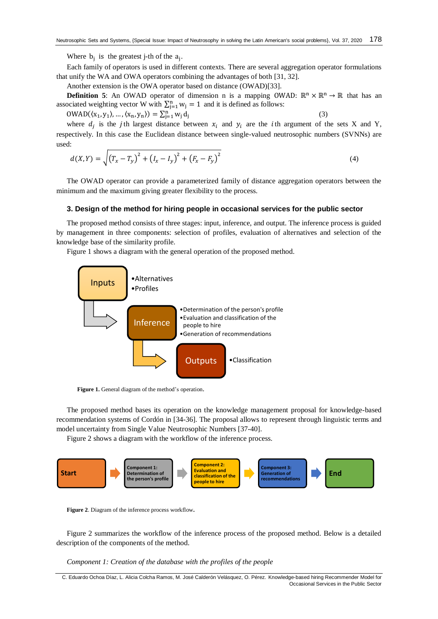Where  $b_j$  is the greatest j-th of the  $a_j$ .

Each family of operators is used in different contexts. There are several aggregation operator formulations that unify the WA and OWA operators combining the advantages of both [\[31,](#page-6-5) [32\]](#page-6-6).

Another extension is the OWA operator based on distance (OWAD)[\[33\]](#page-6-7).

**Definition 5**: An OWAD operator of dimension n is a mapping OWAD:  $\mathbb{R}^n \times \mathbb{R}^n \to \mathbb{R}$  that has an associated weighting vector W with  $\sum_{j=1}^{n} w_j = 1$  and it is defined as follows:

(3)

$$
OWAD(\langle x_1, y_1 \rangle, \dots, \langle x_n, y_n \rangle) = \sum_{j=1}^n w_j d_j
$$

where  $d_j$  is the j<sup>th</sup> largest distance between  $x_i$  and  $y_i$  are the *i*th argument of the sets X and Y, respectively. In this case the Euclidean distance between single-valued neutrosophic numbers (SVNNs) are used:

$$
d(X,Y) = \sqrt{(T_x - T_y)^2 + (I_x - I_y)^2 + (F_x - F_y)^2}
$$
\n(4)

The OWAD operator can provide a parameterized family of distance aggregation operators between the minimum and the maximum giving greater flexibility to the process.

# **3. Design of the method for hiring people in occasional services for the public sector**

The proposed method consists of three stages: input, inference, and output. The inference process is guided by management in three components: selection of profiles, evaluation of alternatives and selection of the knowledge base of the similarity profile.

Figure 1 shows a diagram with the general operation of the proposed method.



Figure 1. General diagram of the method's operation.

The proposed method bases its operation on the knowledge management proposal for knowledge-based recommendation systems of Cordón in [\[34-36\]](#page-6-8). The proposal allows to represent through linguistic terms and model uncertainty from Single Value Neutrosophic Numbers [\[37-40\]](#page-6-9).

Figure 2 shows a diagram with the workflow of the inference process.



**Figure 2**. Diagram of the inference process workflow**.**

Figure 2 summarizes the workflow of the inference process of the proposed method. Below is a detailed description of the components of the method.

*Component 1: Creation of the database with the profiles of the people*

C. Eduardo Ochoa Díaz, L. Alicia Colcha Ramos, M. José Calderón Velásquez, O. Pérez. Knowledge-based hiring Recommender Model for Occasional Services in the Public Sector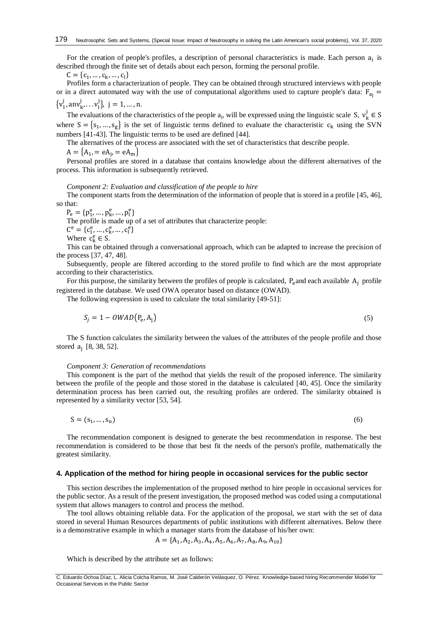For the creation of people's profiles, a description of personal characteristics is made. Each person a<sub>i</sub> is described through the finite set of details about each person, forming the personal profile.

 $C = \{c_1, ..., c_k, ..., c_l\}$ 

Profiles form a characterization of people. They can be obtained through structured interviews with people or in a direct automated way with the use of computational algorithms used to capture people's data:  $F_{a}$  =  $\{v_1^j, \text{any}_k^j, \dots v_l^j\}, \ j = 1, \dots, n.$ 

The evaluations of the characteristics of the people  $a_j$ , will be expressed using the linguistic scale S,  $v_k^j \in S$ where  $S = \{s_1, ..., s_g\}$  is the set of linguistic terms defined to evaluate the characteristic  $c_k$  using the SVN numbers [\[41-43\]](#page-6-10). The linguistic terms to be used are defined [\[44\]](#page-6-11).

The alternatives of the process are associated with the set of characteristics that describe people.

 $A = \{A_1, = eA_j, = eA_m\}$ 

Personal profiles are stored in a database that contains knowledge about the different alternatives of the process. This information is subsequently retrieved.

#### *Component 2: Evaluation and classification of the people to hire*

The component starts from the determination of the information of people that is stored in a profile [\[45,](#page-6-12) [46\]](#page-6-13), so that:

 $P_e = \{p_1^e, ..., p_k^e, ..., p_l^e\}$ 

The profile is made up of a set of attributes that characterize people:

 $\mathsf{C}^\mathsf{e} = \{\mathsf{c}_1^\mathsf{e}, \dots, \mathsf{c}_\mathsf{k}^\mathsf{e}, \dots, \mathsf{c}_\mathsf{l}^\mathsf{e}\}$ 

Where  $c_k^e \in S$ .

This can be obtained through a conversational approach, which can be adapted to increase the precision of the process [\[37,](#page-6-9) [47,](#page-6-14) [48\]](#page-6-15).

Subsequently, people are filtered according to the stored profile to find which are the most appropriate according to their characteristics.

For this purpose, the similarity between the profiles of people is calculated,  $P_e$  and each available  $A_i$  profile registered in the database. We used OWA operator based on distance (OWAD).

The following expression is used to calculate the total similarity [\[49-51\]](#page-6-16):

$$
S_j = 1 - OWAD(P_e, A_j)
$$
\n<sup>(5)</sup>

The S function calculates the similarity between the values of the attributes of the people profile and those stored a<sup>j</sup> [\[8,](#page-5-17) [38,](#page-6-17) [52\]](#page-7-0).

### *Component 3: Generation of recommendations*

This component is the part of the method that yields the result of the proposed inference. The similarity between the profile of the people and those stored in the database is calculated [\[40,](#page-6-18) [45\]](#page-6-12). Once the similarity determination process has been carried out, the resulting profiles are ordered. The similarity obtained is represented by a similarity vector [\[53,](#page-7-1) [54\]](#page-7-2).

$$
S = (s_1, \dots, s_n) \tag{6}
$$

The recommendation component is designed to generate the best recommendation in response. The best recommendation is considered to be those that best fit the needs of the person's profile, mathematically the greatest similarity.

## **4. Application of the method for hiring people in occasional services for the public sector**

This section describes the implementation of the proposed method to hire people in occasional services for the public sector. As a result of the present investigation, the proposed method was coded using a computational system that allows managers to control and process the method.

The tool allows obtaining reliable data. For the application of the proposal, we start with the set of data stored in several Human Resources departments of public institutions with different alternatives. Below there is a demonstrative example in which a manager starts from the database of his/her own:

$$
A = \{A_1, A_2, A_3, A_4, A_5, A_6, A_7, A_8, A_9, A_{10}\}
$$

Which is described by the attribute set as follows: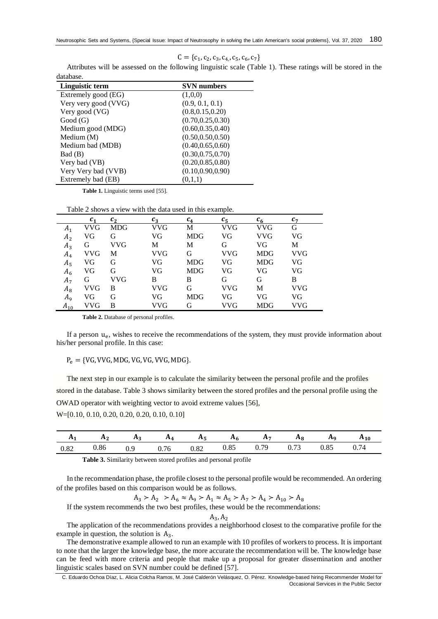$C = \{c_1, c_2, c_3, c_4, c_5, c_6, c_7\}$ 

| <b>SVN</b> numbers |
|--------------------|
| (1,0,0)            |
| (0.9, 0.1, 0.1)    |
| (0.8, 0.15, 0.20)  |
| (0.70, 0.25, 0.30) |
| (0.60, 0.35, 0.40) |
| (0.50, 0.50, 0.50) |
| (0.40, 0.65, 0.60) |
| (0.30, 0.75, 0.70) |
| (0.20, 0.85, 0.80) |
| (0.10, 0.90, 0.90) |
| (0,1,1)            |
|                    |

Attributes will be assessed on the following linguistic scale (Table 1). These ratings will be stored in the database.

**Table 1.** Linguistic terms used [\[55\]](#page-7-3).

Table 2 shows a view with the data used in this example.

|                | $\mathcal{C}_1$ | $\mathcal{C}_2$ | $c_{\rm a}$ | $c_4$      | $c_{\rm s}$ | $c_{6}$    | $c_{7}$    |
|----------------|-----------------|-----------------|-------------|------------|-------------|------------|------------|
| A <sub>1</sub> | VVG             | <b>MDG</b>      | VVG         | М          | VVG         | <b>VVG</b> | G          |
| A <sub>2</sub> | VG              | G               | VG          | <b>MDG</b> | VG          | <b>VVG</b> | VG         |
| $A_3$          | G               | VVG             | М           | М          | G           | VG         | М          |
| $A_4$          | VVG             | М               | VVG         | G          | VVG         | <b>MDG</b> | <b>VVG</b> |
| $A_5$          | VG              | G               | VG          | <b>MDG</b> | VG          | <b>MDG</b> | VG         |
| $A_6$          | VG              | G               | VG          | <b>MDG</b> | VG          | VG         | VG         |
| $A_7$          | G               | VVG             | B           | B          | G           | G          | B          |
| $A_8$          | VVG             | B               | VVG         | G          | VVG         | М          | <b>VVG</b> |
| $A_{9}$        | VG              | G               | VG          | <b>MDG</b> | VG          | VG         | VG         |
| $A_{10}$       | VVG             | в               | VVG         |            | VVG         | <b>MDG</b> | VVG        |

**Table 2.** Database of personal profiles.

If a person u<sub>e</sub>, wishes to receive the recommendations of the system, they must provide information about his/her personal profile. In this case:

 $P_e = \{VG, VVG, MDG, VG, VG, VVG, MDG\}.$ 

The next step in our example is to calculate the similarity between the personal profile and the profiles stored in the database. Table 3 shows similarity between the stored profiles and the personal profile using the OWAD operator with weighting vector to avoid extreme values [\[56\]](#page-7-4), W=[0.10, 0.10, 0.20, 0.20, 0.20, 0.10, 0.10]

| $\mathbf{r}$ | $\cdots$ | $\cdots$ |                              | $\mathbf{a}_5$ | л    | л                     |      | Ηq   | $A_{10}$                          |
|--------------|----------|----------|------------------------------|----------------|------|-----------------------|------|------|-----------------------------------|
| 0.82         | 0.86     | ∪. ∠     | $\sim$ $\sim$ $\sim$<br>0.76 | 0.82<br>∪.o∠   | 0.85 | 79<br>$\mathbf{U}$ ., | 0.73 | 0.85 | $\overline{\phantom{0}}$<br>V. 74 |

**Table 3.** Similarity between stored profiles and personal profile

In the recommendation phase, the profile closest to the personal profile would be recommended. An ordering of the profiles based on this comparison would be as follows.

 $A_3 > A_2 > A_6 \approx A_9 > A_1 \approx A_5 > A_7 > A_4 > A_{10} > A_8$ 

If the system recommends the two best profiles, these would be the recommendations:

 $A_3, A_2$ 

The application of the recommendations provides a neighborhood closest to the comparative profile for the example in question, the solution is  $A_3$ .

The demonstrative example allowed to run an example with 10 profiles of workers to process. It is important to note that the larger the knowledge base, the more accurate the recommendation will be. The knowledge base can be feed with more criteria and people that make up a proposal for greater dissemination and another linguistic scales based on SVN number could be defined [\[57\]](#page-7-5).

C. Eduardo Ochoa Díaz, L. Alicia Colcha Ramos, M. José Calderón Velásquez, O. Pérez. Knowledge-based hiring Recommender Model for Occasional Services in the Public Sector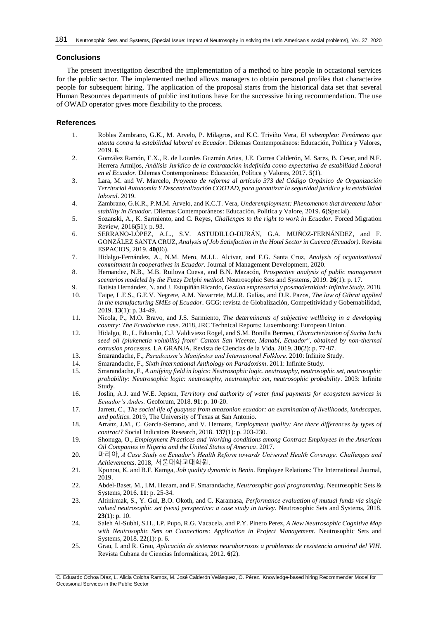## **Conclusions**

The present investigation described the implementation of a method to hire people in occasional services for the public sector. The implemented method allows managers to obtain personal profiles that characterize people for subsequent hiring. The application of the proposal starts from the historical data set that several Human Resources departments of public institutions have for the successive hiring recommendation. The use of OWAD operator gives more flexibility to the process.

# **References**

- <span id="page-5-0"></span>1. Robles Zambrano, G.K., M. Arvelo, P. Milagros, and K.C. Triviño Vera, *El subempleo: Fenómeno que atenta contra la estabilidad laboral en Ecuador.* Dilemas Contemporáneos: Educación, Política y Valores, 2019. **6**.
- <span id="page-5-1"></span>2. González Ramón, E.X., R. de Lourdes Guzmán Arias, J.E. Correa Calderón, M. Sares, B. Cesar, and N.F. Herrera Armijos, *Análisis Jurídico de la contratación indefinida como expectativa de estabilidad Laboral en el Ecuador.* Dilemas Contemporáneos: Educación, Política y Valores, 2017. **5**(1).
- <span id="page-5-2"></span>3. Lara, M. and W. Marcelo, *Proyecto de reforma al artículo 373 del Código Orgánico de Organización Territorial Autonomía Y Descentralización COOTAD, para garantizar la seguridad jurídica y la estabilidad laboral*. 2019.
- <span id="page-5-3"></span>4. Zambrano, G.K.R., P.M.M. Arvelo, and K.C.T. Vera, *Underemployment: Phenomenon that threatens labor stability in Ecuador.* Dilemas Contemporáneos: Educación, Política y Valore, 2019. **6**(Special).
- <span id="page-5-4"></span>5. Sozanski, A., K. Sarmiento, and C. Reyes, *Challenges to the right to work in Ecuador.* Forced Migration Review, 2016(51): p. 93.
- <span id="page-5-5"></span>6. SERRANO-LÓPEZ, A.L., S.V. ASTUDILLO-DURÁN, G.A. MUÑOZ-FERNÁNDEZ, and F. GONZÁLEZ SANTA CRUZ, *Analysis of Job Satisfaction in the Hotel Sector in Cuenca (Ecuador).* Revista ESPACIOS, 2019. **40**(06).
- <span id="page-5-6"></span>7. Hidalgo-Fernández, A., N.M. Mero, M.I.L. Alcivar, and F.G. Santa Cruz, *Analysis of organizational commitment in cooperatives in Ecuador.* Journal of Management Development, 2020.
- <span id="page-5-17"></span>8. Hernandez, N.B., M.B. Ruilova Cueva, and B.N. Mazacón, *Prospective analysis of public management scenarios modeled by the Fuzzy Delphi method.* Neutrosophic Sets and Systems, 2019. **26**(1): p. 17.
- 9. Batista Hernández, N. and J. Estupiñán Ricardo, *Gestion empresarial y posmodernidad: Infinite Study.* 2018.
- <span id="page-5-7"></span>10. Taipe, L.E.S., G.E.V. Negrete, A.M. Navarrete, M.J.R. Gulías, and D.R. Pazos, *The law of Gibrat applied in the manufacturing SMEs of Ecuador.* GCG: revista de Globalización, Competitividad y Gobernabilidad, 2019. **13**(1): p. 34-49.
- <span id="page-5-8"></span>11. Nicola, P., M.O. Bravo, and J.S. Sarmiento, *The determinants of subjective wellbeing in a developing country: The Ecuadorian case*. 2018, JRC Technical Reports: Luxembourg: European Union.
- <span id="page-5-9"></span>12. Hidalgo, R., L. Eduardo, C.J. Valdiviezo Rogel, and S.M. Bonilla Bermeo, *Characterization of Sacha Inchi*  seed oil (plukenetia volubilis) from" Canton San Vicente, Manabí, Ecuador", obtained by non-thermal *extrusion processes.* LA GRANJA. Revista de Ciencias de la Vida, 2019. **30**(2): p. 77-87.
- <span id="page-5-10"></span>13. Smarandache, F., *Paradoxism's Manifestos and International Folklore*. 2010: Infinite Study.
- <span id="page-5-11"></span>14. Smarandache, F., *Sixth International Anthology on Paradoxism*. 2011: Infinite Study.
- <span id="page-5-12"></span>15. Smarandache, F., *A unifying field in logics: Neutrosophic logic. neutrosophy, neutrosophic set, neutrosophic probability: Neutrosophic logic: neutrosophy, neutrosophic set, neutrosophic probability*. 2003: Infinite Study.
- <span id="page-5-13"></span>16. Joslin, A.J. and W.E. Jepson, *Territory and authority of water fund payments for ecosystem services in Ecuador's Andes.* Geoforum, 2018. **91**: p. 10-20.
- 17. Jarrett, C., *The social life of guayusa from amazonian ecuador: an examination of livelihoods, landscapes, and politics*. 2019, The University of Texas at San Antonio.
- 18. Arranz, J.M., C. García-Serrano, and V. Hernanz, *Employment quality: Are there differences by types of contract?* Social Indicators Research, 2018. **137**(1): p. 203-230.
- <span id="page-5-14"></span>19. Shonuga, O., *Employment Practices and Working conditions among Contract Employees in the American Oil Companies in Nigeria and the United States of America*. 2017.
- 20. 마리아, *A Case Study on Ecuador's Health Reform towards Universal Health Coverage: Challenges and Achievements*. 2018, 서울대학교대학원.
- 21. Kponou, K. and B.F. Kamga, *Job quality dynamic in Benin.* Employee Relations: The International Journal, 2019.
- <span id="page-5-15"></span>22. Abdel-Baset, M., I.M. Hezam, and F. Smarandache, *Neutrosophic goal programming.* Neutrosophic Sets & Systems, 2016. **11**: p. 25-34.
- 23. Altinirmak, S., Y. Gul, B.O. Okoth, and C. Karamasa, *Performance evaluation of mutual funds via single valued neutrosophic set (svns) perspective: a case study in turkey.* Neutrosophic Sets and Systems, 2018. **23**(1): p. 10.
- 24. Saleh Al-Subhi, S.H., I.P. Pupo, R.G. Vacacela, and P.Y. Pinero Perez, *A New Neutrosophic Cognitive Map with Neutrosophic Sets on Connections: Application in Project Management.* Neutrosophic Sets and Systems, 2018. **22**(1): p. 6.
- <span id="page-5-16"></span>25. Grau, I. and R. Grau, *Aplicación de sistemas neuroborrosos a problemas de resistencia antiviral del VIH.* Revista Cubana de Ciencias Informáticas, 2012. **6**(2).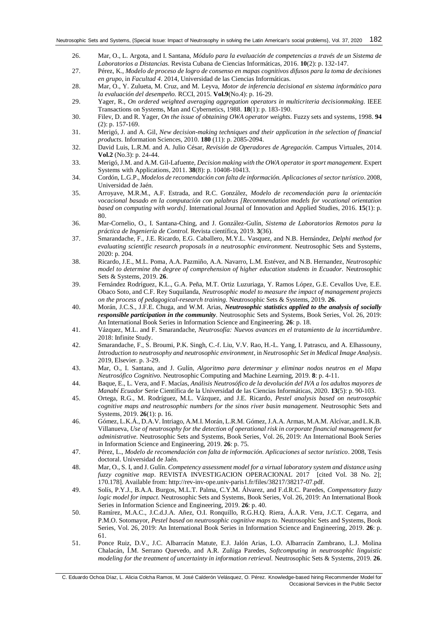- <span id="page-6-0"></span>26. Mar, O., L. Argota, and I. Santana, *Módulo para la evaluación de competencias a través de un Sistema de Laboratorios a Distancias.* Revista Cubana de Ciencias Informáticas, 2016. **10**(2): p. 132-147.
- <span id="page-6-1"></span>27. Pérez, K., *Modelo de proceso de logro de consenso en mapas cognitivos difusos para la toma de decisiones en grupo*, in *Facultad 4*. 2014, Universidad de las Ciencias Informáticas.
- <span id="page-6-2"></span>28. Mar, O., Y. Zulueta, M. Cruz, and M. Leyva, *Motor de inferencia decisional en sistema informático para la evaluación del desempeño.* RCCI, 2015. **Vol.9**(No.4): p. 16-29.
- <span id="page-6-3"></span>29. Yager, R., *On ordered weighted averaging aggregation operators in multicriteria decisionmaking.* IEEE Transactions on Systems, Man and Cybernetics, 1988. **18**(1): p. 183-190.
- <span id="page-6-4"></span>30. Filev, D. and R. Yager, *On the issue of obtaining OWA operator weights.* Fuzzy sets and systems, 1998. **94**  (2): p. 157-169.
- <span id="page-6-5"></span>31. Merigó, J. and A. Gil, *New decision-making techniques and their application in the selection of financial products.* Information Sciences, 2010. **180** (11): p. 2085-2094.
- <span id="page-6-6"></span>32. David Luis, L.R.M. and A. Julio César, *Revisión de Operadores de Agregación.* Campus Virtuales, 2014. **Vol.2** (No.3): p. 24-44.
- <span id="page-6-7"></span>33. Merigó, J.M. and A.M. Gil-Lafuente, *Decision making with the OWA operator in sport management.* Expert Systems with Applications, 2011. **38**(8): p. 10408-10413.
- <span id="page-6-8"></span>34. Cordón, L.G.P., *Modelos de recomendación con falta de información. Aplicaciones al sector turístico*. 2008, Universidad de Jaén.
- 35. Arroyave, M.R.M., A.F. Estrada, and R.C. González, *Modelo de recomendación para la orientación vocacional basado en la computación con palabras [Recommendation models for vocational orientation based on computing with words].* International Journal of Innovation and Applied Studies, 2016. **15**(1): p. 80.
- 36. Mar-Cornelio, O., I. Santana-Ching, and J. González-Gulín, *Sistema de Laboratorios Remotos para la práctica de Ingeniería de Control.* Revista científica, 2019. **3**(36).
- <span id="page-6-9"></span>37. Smarandache, F., J.E. Ricardo, E.G. Caballero, M.Y.L. Vasquez, and N.B. Hernández, *Delphi method for evaluating scientific research proposals in a neutrosophic environment.* Neutrosophic Sets and Systems, 2020: p. 204.
- <span id="page-6-17"></span>38. Ricardo, J.E., M.L. Poma, A.A. Pazmiño, A.A. Navarro, L.M. Estévez, and N.B. Hernandez, *Neutrosophic model to determine the degree of comprehension of higher education students in Ecuador.* Neutrosophic Sets & Systems, 2019. **26**.
- 39. Fernández Rodríguez, K.L., G.A. Peña, M.T. Ortiz Luzuriaga, Y. Ramos López, G.E. Cevallos Uve, E.E. Obaco Soto, and C.F. Rey Suquilanda, *Neutrosophic model to measure the impact of management projects on the process of pedagogical-research training.* Neutrosophic Sets & Systems, 2019. **26**.
- <span id="page-6-18"></span>40. Morán, J.C.S., J.F.E. Chuga, and W.M. Arias, *Neutrosophic statistics applied to the analysis of socially responsible participation in the community.* Neutrosophic Sets and Systems, Book Series, Vol. 26, 2019: An International Book Series in Information Science and Engineering. **26**: p. 18.
- <span id="page-6-10"></span>41. Vázquez, M.L. and F. Smarandache, *Neutrosofía: Nuevos avances en el tratamiento de la incertidumbre*. 2018: Infinite Study.
- 42. Smarandache, F., S. Broumi, P.K. Singh, C.-f. Liu, V.V. Rao, H.-L. Yang, I. Patrascu, and A. Elhassouny, *Introduction to neutrosophy and neutrosophic environment*, in *Neutrosophic Set in Medical Image Analysis*. 2019, Elsevier. p. 3-29.
- 43. Mar, O., I. Santana, and J. Gulín, *Algoritmo para determinar y eliminar nodos neutros en el Mapa Neutrosófico Cognitivo.* Neutrosophic Computing and Machine Learning, 2019. **8**: p. 4-11.
- <span id="page-6-11"></span>44. Baque, E., L. Vera, and F. Macías, *Análisis Neutrosófico de la devolución del IVA a los adultos mayores de Manabí Ecuador* Serie Científica de la Universidad de las Ciencias Informáticas, 2020. **13**(5): p. 90-103.
- <span id="page-6-12"></span>45. Ortega, R.G., M. Rodríguez, M.L. Vázquez, and J.E. Ricardo, *Pestel analysis based on neutrosophic cognitive maps and neutrosophic numbers for the sinos river basin management.* Neutrosophic Sets and Systems, 2019. **26**(1): p. 16.
- <span id="page-6-13"></span>46. Gómez, L.K.Á., D.A.V. Intriago, A.M.I. Morán, L.R.M. Gómez, J.A.A. Armas, M.A.M. Alcívar, and L.K.B. Villanueva, *Use of neutrosophy for the detection of operational risk in corporate financial management for administrative.* Neutrosophic Sets and Systems, Book Series, Vol. 26, 2019: An International Book Series in Information Science and Engineering, 2019. **26**: p. 75.
- <span id="page-6-14"></span>47. Pérez, L., *Modelo de recomendación con falta de información. Aplicaciones al sector turístico*. 2008, Tesis doctoral. Universidad de Jaén.
- <span id="page-6-15"></span>48. Mar, O., S. I, and J. Gulín. *Competency assessment model for a virtual laboratory system and distance using fuzzy cognitive map*. REVISTA INVESTIGACION OPERACIONAL 2017 [cited Vol. 38 No. 2]; 170.178]. Available from: http://rev-inv-ope.univ-paris1.fr/files/38217/38217-07.pdf.
- <span id="page-6-16"></span>49. Solís, P.Y.J., B.A.A. Burgos, M.L.T. Palma, C.Y.M. Álvarez, and F.d.R.C. Paredes, *Compensatory fuzzy logic model for impact.* Neutrosophic Sets and Systems, Book Series, Vol. 26, 2019: An International Book Series in Information Science and Engineering, 2019. **26**: p. 40.
- 50. Ramírez, M.A.C., J.C.d.J.A. Añez, O.I. Ronquillo, R.G.H.Q. Riera, Á.A.R. Vera, J.C.T. Cegarra, and P.M.O. Sotomayor, *Pestel based on neutrosophic cognitive maps to.* Neutrosophic Sets and Systems, Book Series, Vol. 26, 2019: An International Book Series in Information Science and Engineering, 2019. **26**: p. 61.
- 51. Ponce Ruiz, D.V., J.C. Albarracín Matute, E.J. Jalón Arias, L.O. Albarracín Zambrano, L.J. Molina Chalacán, Í.M. Serrano Quevedo, and A.R. Zuñiga Paredes, *Softcomputing in neutrosophic linguistic modeling for the treatment of uncertainty in information retrieval.* Neutrosophic Sets & Systems, 2019. **26**.

C. Eduardo Ochoa Díaz, L. Alicia Colcha Ramos, M. José Calderón Velásquez, O. Pérez. Knowledge-based hiring Recommender Model for Occasional Services in the Public Sector